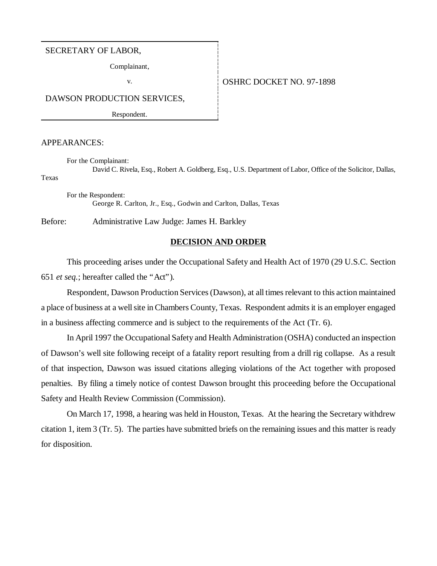#### SECRETARY OF LABOR,

Complainant,

#### v. Same **OSHRC DOCKET NO. 97-1898**

DAWSON PRODUCTION SERVICES,

Respondent.

#### APPEARANCES:

For the Complainant:

David C. Rivela, Esq., Robert A. Goldberg, Esq., U.S. Department of Labor, Office of the Solicitor, Dallas, Texas

For the Respondent: George R. Carlton, Jr., Esq., Godwin and Carlton, Dallas, Texas

Before: Administrative Law Judge: James H. Barkley

#### **DECISION AND ORDER**

This proceeding arises under the Occupational Safety and Health Act of 1970 (29 U.S.C. Section 651 *et seq.*; hereafter called the "Act").

Respondent, Dawson Production Services (Dawson), at all times relevant to this action maintained a place of business at a well site in Chambers County, Texas. Respondent admits it is an employer engaged in a business affecting commerce and is subject to the requirements of the Act (Tr. 6).

In April 1997 the Occupational Safety and Health Administration (OSHA) conducted an inspection of Dawson's well site following receipt of a fatality report resulting from a drill rig collapse. As a result of that inspection, Dawson was issued citations alleging violations of the Act together with proposed penalties. By filing a timely notice of contest Dawson brought this proceeding before the Occupational Safety and Health Review Commission (Commission).

On March 17, 1998, a hearing was held in Houston, Texas. At the hearing the Secretary withdrew citation 1, item 3 (Tr. 5). The parties have submitted briefs on the remaining issues and this matter is ready for disposition.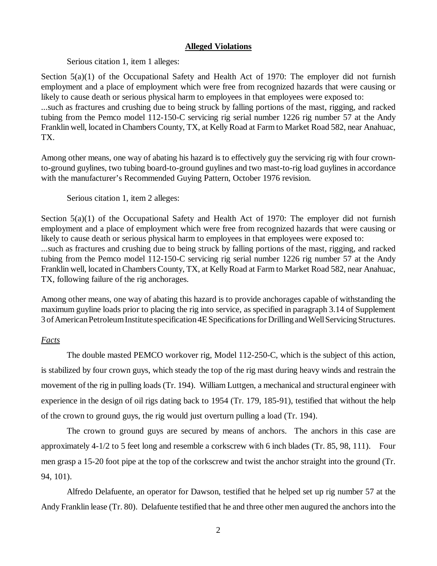### **Alleged Violations**

Serious citation 1, item 1 alleges:

Section 5(a)(1) of the Occupational Safety and Health Act of 1970: The employer did not furnish employment and a place of employment which were free from recognized hazards that were causing or likely to cause death or serious physical harm to employees in that employees were exposed to: ...such as fractures and crushing due to being struck by falling portions of the mast, rigging, and racked tubing from the Pemco model 112-150-C servicing rig serial number 1226 rig number 57 at the Andy Franklin well, located in Chambers County, TX, at Kelly Road at Farm to Market Road 582, near Anahuac, TX.

Among other means, one way of abating his hazard is to effectively guy the servicing rig with four crownto-ground guylines, two tubing board-to-ground guylines and two mast-to-rig load guylines in accordance with the manufacturer's Recommended Guying Pattern, October 1976 revision.

### Serious citation 1, item 2 alleges:

Section 5(a)(1) of the Occupational Safety and Health Act of 1970: The employer did not furnish employment and a place of employment which were free from recognized hazards that were causing or likely to cause death or serious physical harm to employees in that employees were exposed to: ...such as fractures and crushing due to being struck by falling portions of the mast, rigging, and racked tubing from the Pemco model 112-150-C servicing rig serial number 1226 rig number 57 at the Andy Franklin well, located in Chambers County, TX, at Kelly Road at Farm to Market Road 582, near Anahuac, TX, following failure of the rig anchorages.

Among other means, one way of abating this hazard is to provide anchorages capable of withstanding the maximum guyline loads prior to placing the rig into service, as specified in paragraph 3.14 of Supplement 3 of American Petroleum Institute specification 4E Specifications for Drilling and Well Servicing Structures.

# *Facts*

The double masted PEMCO workover rig, Model 112-250-C, which is the subject of this action, is stabilized by four crown guys, which steady the top of the rig mast during heavy winds and restrain the movement of the rig in pulling loads (Tr. 194). William Luttgen, a mechanical and structural engineer with experience in the design of oil rigs dating back to 1954 (Tr. 179, 185-91), testified that without the help of the crown to ground guys, the rig would just overturn pulling a load (Tr. 194).

The crown to ground guys are secured by means of anchors. The anchors in this case are approximately 4-1/2 to 5 feet long and resemble a corkscrew with 6 inch blades (Tr. 85, 98, 111). Four men grasp a 15-20 foot pipe at the top of the corkscrew and twist the anchor straight into the ground (Tr. 94, 101).

Alfredo Delafuente, an operator for Dawson, testified that he helped set up rig number 57 at the Andy Franklin lease (Tr. 80). Delafuente testified that he and three other men augured the anchors into the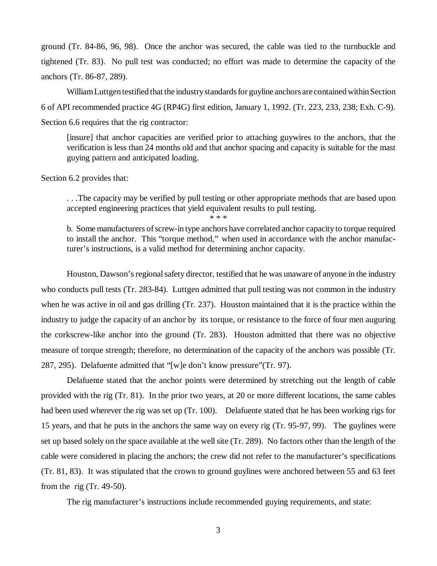ground (Tr. 84-86, 96, 98). Once the anchor was secured, the cable was tied to the turnbuckle and tightened (Tr. 83). No pull test was conducted; no effort was made to determine the capacity of the anchors (Tr. 86-87, 289).

William Luttgen testified that the industry standards for guyline anchors are contained within Section 6 of API recommended practice 4G (RP4G) first edition, January 1, 1992. (Tr. 223, 233, 238; Exh. C-9). Section 6.6 requires that the rig contractor:

[insure] that anchor capacities are verified prior to attaching guywires to the anchors, that the verification is less than 24 months old and that anchor spacing and capacity is suitable for the mast guying pattern and anticipated loading.

Section 6.2 provides that:

. . .The capacity may be verified by pull testing or other appropriate methods that are based upon accepted engineering practices that yield equivalent results to pull testing.

\* \* \*

b. Some manufacturers of screw-in type anchors have correlated anchor capacity to torque required to install the anchor. This "torque method," when used in accordance with the anchor manufacturer's instructions, is a valid method for determining anchor capacity.

Houston, Dawson's regional safety director, testified that he was unaware of anyone in the industry who conducts pull tests (Tr. 283-84). Luttgen admitted that pull testing was not common in the industry when he was active in oil and gas drilling (Tr. 237). Houston maintained that it is the practice within the industry to judge the capacity of an anchor by its torque, or resistance to the force of four men auguring the corkscrew-like anchor into the ground (Tr. 283). Houston admitted that there was no objective measure of torque strength; therefore, no determination of the capacity of the anchors was possible (Tr. 287, 295). Delafuente admitted that "[w]e don't know pressure"(Tr. 97).

Delafuente stated that the anchor points were determined by stretching out the length of cable provided with the rig (Tr. 81). In the prior two years, at 20 or more different locations, the same cables had been used wherever the rig was set up (Tr. 100). Delafuente stated that he has been working rigs for 15 years, and that he puts in the anchors the same way on every rig (Tr. 95-97, 99). The guylines were set up based solely on the space available at the well site (Tr. 289). No factors other than the length of the cable were considered in placing the anchors; the crew did not refer to the manufacturer's specifications (Tr. 81, 83). It was stipulated that the crown to ground guylines were anchored between 55 and 63 feet from the rig  $(Tr. 49-50)$ .

The rig manufacturer's instructions include recommended guying requirements, and state: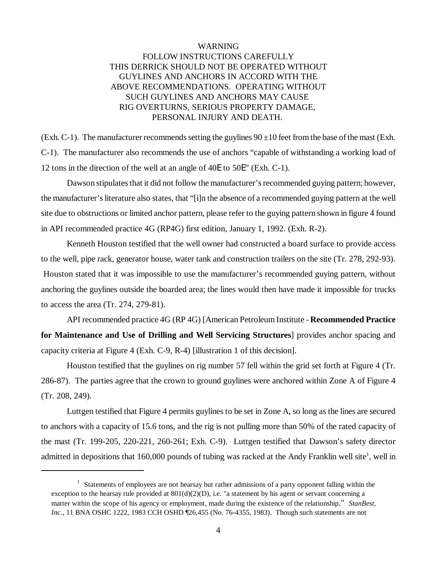# WARNING FOLLOW INSTRUCTIONS CAREFULLY THIS DERRICK SHOULD NOT BE OPERATED WITHOUT GUYLINES AND ANCHORS IN ACCORD WITH THE ABOVE RECOMMENDATIONS. OPERATING WITHOUT SUCH GUYLINES AND ANCHORS MAY CAUSE RIG OVERTURNS, SERIOUS PROPERTY DAMAGE, PERSONAL INJURY AND DEATH.

(Exh. C-1). The manufacturer recommends setting the guylines  $90 \pm 10$  feet from the base of the mast (Exh. C-1). The manufacturer also recommends the use of anchors "capable of withstanding a working load of 12 tons in the direction of the well at an angle of 40E to 50E" (Exh. C-1).

Dawson stipulates that it did not follow the manufacturer's recommended guying pattern; however, the manufacturer's literature also states, that "[i]n the absence of a recommended guying pattern at the well site due to obstructions or limited anchor pattern, please refer to the guying pattern shown in figure 4 found in API recommended practice 4G (RP4G) first edition, January 1, 1992. (Exh. R-2).

Kenneth Houston testified that the well owner had constructed a board surface to provide access to the well, pipe rack, generator house, water tank and construction trailers on the site (Tr. 278, 292-93). Houston stated that it was impossible to use the manufacturer's recommended guying pattern, without anchoring the guylines outside the boarded area; the lines would then have made it impossible for trucks to access the area (Tr. 274, 279-81).

API recommended practice 4G (RP 4G) [American Petroleum Institute - **Recommended Practice for Maintenance and Use of Drilling and Well Servicing Structures**] provides anchor spacing and capacity criteria at Figure 4 (Exh. C-9, R-4) [illustration 1 of this decision].

Houston testified that the guylines on rig number 57 fell within the grid set forth at Figure 4 (Tr. 286-87). The parties agree that the crown to ground guylines were anchored within Zone A of Figure 4 (Tr. 208, 249).

Luttgen testified that Figure 4 permits guylines to be set in Zone A, so long as the lines are secured to anchors with a capacity of 15.6 tons, and the rig is not pulling more than 50% of the rated capacity of the mast (Tr. 199-205, 220-221, 260-261; Exh. C-9). Luttgen testified that Dawson's safety director admitted in depositions that  $160,000$  pounds of tubing was racked at the Andy Franklin well site<sup>1</sup>, well in

<sup>&</sup>lt;sup>1</sup> Statements of employees are not hearsay but rather admissions of a party opponent falling within the exception to the hearsay rule provided at  $801(d)(2)(D)$ , i.e. "a statement by his agent or servant concerning a matter within the scope of his agency or employment, made during the existence of the relationship." *StanBest, Inc.*, 11 BNA OSHC 1222, 1983 CCH OSHD [26,455 (No. 76-4355, 1983). Though such statements are not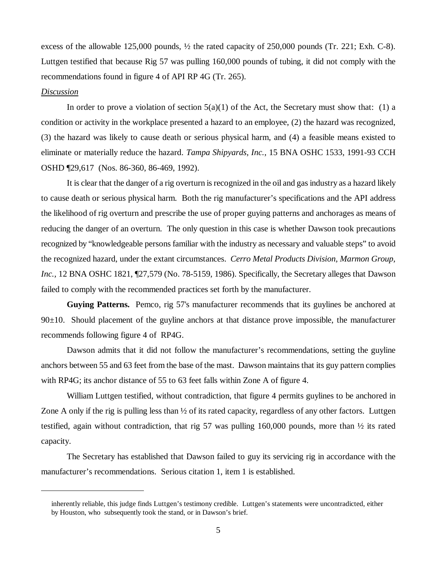excess of the allowable 125,000 pounds, ½ the rated capacity of 250,000 pounds (Tr. 221; Exh. C-8). Luttgen testified that because Rig 57 was pulling 160,000 pounds of tubing, it did not comply with the recommendations found in figure 4 of API RP 4G (Tr. 265).

### *Discussion*

In order to prove a violation of section  $5(a)(1)$  of the Act, the Secretary must show that: (1) a condition or activity in the workplace presented a hazard to an employee, (2) the hazard was recognized, (3) the hazard was likely to cause death or serious physical harm, and (4) a feasible means existed to eliminate or materially reduce the hazard. *Tampa Shipyards, Inc.*, 15 BNA OSHC 1533, 1991-93 CCH OSHD ¶29,617 (Nos. 86-360, 86-469, 1992).

It is clear that the danger of a rig overturn is recognized in the oil and gas industry as a hazard likely to cause death or serious physical harm. Both the rig manufacturer's specifications and the API address the likelihood of rig overturn and prescribe the use of proper guying patterns and anchorages as means of reducing the danger of an overturn. The only question in this case is whether Dawson took precautions recognized by "knowledgeable persons familiar with the industry as necessary and valuable steps" to avoid the recognized hazard, under the extant circumstances. *Cerro Metal Products Division, Marmon Group, Inc.,* 12 BNA OSHC 1821, ¶27,579 (No. 78-5159, 1986). Specifically, the Secretary alleges that Dawson failed to comply with the recommended practices set forth by the manufacturer.

**Guying Patterns.** Pemco, rig 57's manufacturer recommends that its guylines be anchored at  $90±10$ . Should placement of the guyline anchors at that distance prove impossible, the manufacturer recommends following figure 4 of RP4G.

Dawson admits that it did not follow the manufacturer's recommendations, setting the guyline anchors between 55 and 63 feet from the base of the mast. Dawson maintains that its guy pattern complies with RP4G; its anchor distance of 55 to 63 feet falls within Zone A of figure 4.

William Luttgen testified, without contradiction, that figure 4 permits guylines to be anchored in Zone A only if the rig is pulling less than ½ of its rated capacity, regardless of any other factors. Luttgen testified, again without contradiction, that rig 57 was pulling 160,000 pounds, more than ½ its rated capacity.

The Secretary has established that Dawson failed to guy its servicing rig in accordance with the manufacturer's recommendations. Serious citation 1, item 1 is established.

inherently reliable, this judge finds Luttgen's testimony credible. Luttgen's statements were uncontradicted, either by Houston, who subsequently took the stand, or in Dawson's brief.